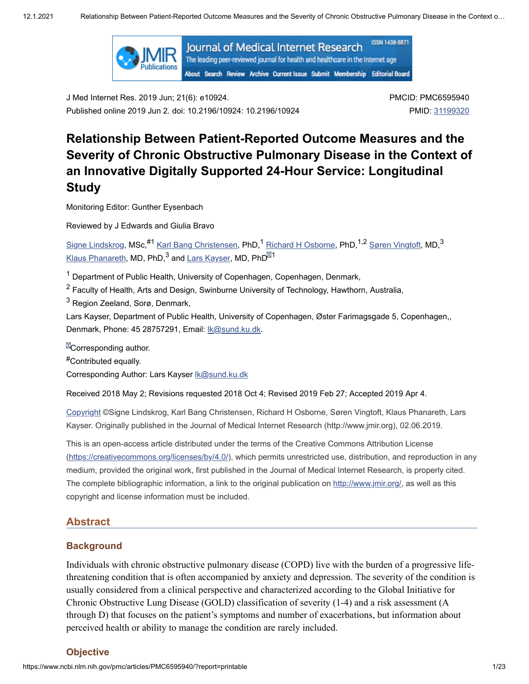

J Med Internet Res. 2019 Jun; 21(6): e10924. Published online 2019 Jun 2. doi: 10.2196/10924: 10.2196/10924 PMCID: PMC6595940 PMID: [31199320](https://www.ncbi.nlm.nih.gov/pubmed/31199320)

# **Relationship Between Patient-Reported Outcome Measures and the Severity of Chronic Obstructive Pulmonary Disease in the Context of an Innovative Digitally Supported 24-Hour Service: Longitudinal Study**

Monitoring Editor: Gunther Eysenbach

Reviewed by J Edwards and Giulia Bravo

<u>Signe [Lindskrog](https://www.ncbi.nlm.nih.gov/pubmed/?term=Lindskrog%20S%5BAuthor%5D&cauthor=true&cauthor_uid=31199320),</u> MSc,<sup>#1</sup> <u>Karl Bang [Christensen](https://www.ncbi.nlm.nih.gov/pubmed/?term=Christensen%20KB%5BAuthor%5D&cauthor=true&cauthor_uid=31199320),</u> PhD,<sup>1</sup> <u>Richard H Osborne</u>, PhD,<sup>1,2</sup> <u>Søren [Vingtoft](https://www.ncbi.nlm.nih.gov/pubmed/?term=Vingtoft%20S%5BAuthor%5D&cauthor=true&cauthor_uid=31199320),</u> MD,<sup>3</sup> <u>Klaus [Phanareth,](https://www.ncbi.nlm.nih.gov/pubmed/?term=Phanareth%20K%5BAuthor%5D&cauthor=true&cauthor_uid=31199320)</u> MD, PhD, $^3$  and <u>Lars [Kayser](https://www.ncbi.nlm.nih.gov/pubmed/?term=Kayser%20L%5BAuthor%5D&cauthor=true&cauthor_uid=31199320),</u> MD, PhD $^{\boxtimes 1}$ 

 $^{\text{1}}$  Department of Public Health, University of Copenhagen, Copenhagen, Denmark,

 $^2$  Faculty of Health, Arts and Design, Swinburne University of Technology, Hawthorn, Australia,

 $^3$  Region Zeeland, Sorø, Denmark,

Lars Kayser, Department of Public Health, University of Copenhagen, Øster Farimagsgade 5, Copenhagen,, Denmark, Phone: 45 28757291, Email: [lk@sund.ku.dk.](mailto:dev@null)

 $\mathbb{Z}$ Corresponding author.

Contributed equally. #

Corresponding Author: Lars Kayser Ik@sund.ku.dk

Received 2018 May 2; Revisions requested 2018 Oct 4; Revised 2019 Feb 27; Accepted 2019 Apr 4.

[Copyright](https://www.ncbi.nlm.nih.gov/pmc/about/copyright/) ©Signe Lindskrog, Karl Bang Christensen, Richard H Osborne, Søren Vingtoft, Klaus Phanareth, Lars Kayser. Originally published in the Journal of Medical Internet Research (http://www.jmir.org), 02.06.2019.

This is an open-access article distributed under the terms of the Creative Commons Attribution License (<https://creativecommons.org/licenses/by/4.0/>), which permits unrestricted use, distribution, and reproduction in any medium, provided the original work, first published in the Journal of Medical Internet Research, is properly cited. The complete bibliographic information, a link to the original publication on [http://www.jmir.org/,](http://www.jmir.org/) as well as this copyright and license information must be included.

### **Abstract**

### **Background**

Individuals with chronic obstructive pulmonary disease (COPD) live with the burden of a progressive lifethreatening condition that is often accompanied by anxiety and depression. The severity of the condition is usually considered from a clinical perspective and characterized according to the Global Initiative for Chronic Obstructive Lung Disease (GOLD) classification of severity (1-4) and a risk assessment (A through D) that focuses on the patient's symptoms and number of exacerbations, but information about perceived health or ability to manage the condition are rarely included.

#### **Objective**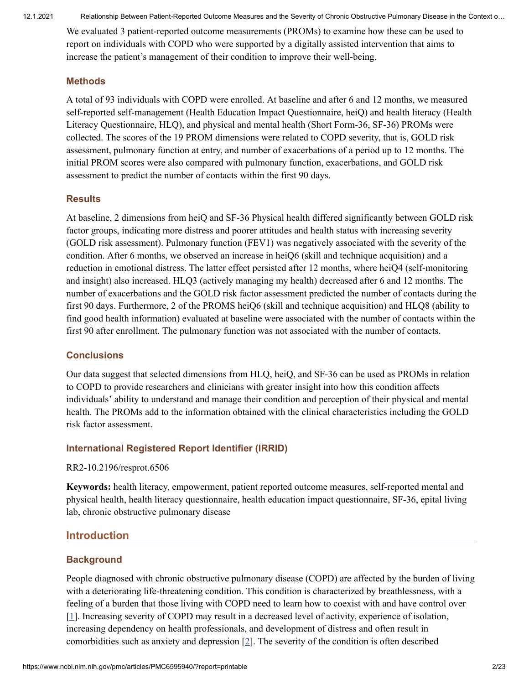We evaluated 3 patient-reported outcome measurements (PROMs) to examine how these can be used to report on individuals with COPD who were supported by a digitally assisted intervention that aims to increase the patient's management of their condition to improve their well-being.

### **Methods**

A total of 93 individuals with COPD were enrolled. At baseline and after 6 and 12 months, we measured self-reported self-management (Health Education Impact Questionnaire, heiQ) and health literacy (Health Literacy Questionnaire, HLQ), and physical and mental health (Short Form-36, SF-36) PROMs were collected. The scores of the 19 PROM dimensions were related to COPD severity, that is, GOLD risk assessment, pulmonary function at entry, and number of exacerbations of a period up to 12 months. The initial PROM scores were also compared with pulmonary function, exacerbations, and GOLD risk assessment to predict the number of contacts within the first 90 days.

### **Results**

At baseline, 2 dimensions from heiQ and SF-36 Physical health differed significantly between GOLD risk factor groups, indicating more distress and poorer attitudes and health status with increasing severity (GOLD risk assessment). Pulmonary function (FEV1) was negatively associated with the severity of the condition. After 6 months, we observed an increase in heiQ6 (skill and technique acquisition) and a reduction in emotional distress. The latter effect persisted after 12 months, where heiQ4 (self-monitoring and insight) also increased. HLQ3 (actively managing my health) decreased after 6 and 12 months. The number of exacerbations and the GOLD risk factor assessment predicted the number of contacts during the first 90 days. Furthermore, 2 of the PROMS heiQ6 (skill and technique acquisition) and HLQ8 (ability to find good health information) evaluated at baseline were associated with the number of contacts within the first 90 after enrollment. The pulmonary function was not associated with the number of contacts.

### **Conclusions**

Our data suggest that selected dimensions from HLQ, heiQ, and SF-36 can be used as PROMs in relation to COPD to provide researchers and clinicians with greater insight into how this condition affects individuals' ability to understand and manage their condition and perception of their physical and mental health. The PROMs add to the information obtained with the clinical characteristics including the GOLD risk factor assessment.

### **International Registered Report Identifier (IRRID)**

### RR2-10.2196/resprot.6506

**Keywords:** health literacy, empowerment, patient reported outcome measures, self-reported mental and physical health, health literacy questionnaire, health education impact questionnaire, SF-36, epital living lab, chronic obstructive pulmonary disease

# **Introduction**

### **Background**

People diagnosed with chronic obstructive pulmonary disease (COPD) are affected by the burden of living with a deteriorating life-threatening condition. This condition is characterized by breathlessness, with a feeling of a burden that those living with COPD need to learn how to coexist with and have control over [\[1\]](#page-9-0). Increasing severity of COPD may result in a decreased level of activity, experience of isolation, increasing dependency on health professionals, and development of distress and often result in comorbidities such as anxiety and depression  $[2]$  $[2]$  $[2]$ . The severity of the condition is often described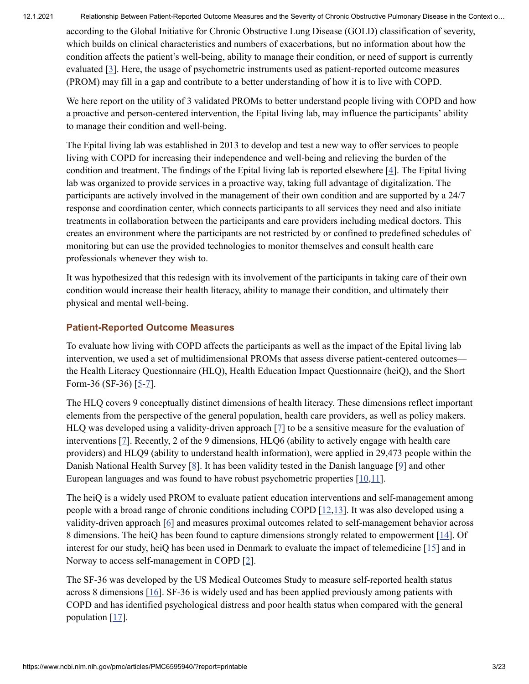according to the Global Initiative for Chronic Obstructive Lung Disease (GOLD) classification of severity, which builds on clinical characteristics and numbers of exacerbations, but no information about how the condition affects the patient's well-being, ability to manage their condition, or need of support is currently evaluated [\[3](#page-10-0)]. Here, the usage of psychometric instruments used as patient-reported outcome measures (PROM) may fill in a gap and contribute to a better understanding of how it is to live with COPD.

We here report on the utility of 3 validated PROMs to better understand people living with COPD and how a proactive and person-centered intervention, the Epital living lab, may influence the participants' ability to manage their condition and well-being.

The Epital living lab was established in 2013 to develop and test a new way to offer services to people living with COPD for increasing their independence and well-being and relieving the burden of the condition and treatment. The findings of the Epital living lab is reported elsewhere [\[4\]](#page-10-1). The Epital living lab was organized to provide services in a proactive way, taking full advantage of digitalization. The participants are actively involved in the management of their own condition and are supported by a 24/7 response and coordination center, which connects participants to all services they need and also initiate treatments in collaboration between the participants and care providers including medical doctors. This creates an environment where the participants are not restricted by or confined to predefined schedules of monitoring but can use the provided technologies to monitor themselves and consult health care professionals whenever they wish to.

It was hypothesized that this redesign with its involvement of the participants in taking care of their own condition would increase their health literacy, ability to manage their condition, and ultimately their physical and mental well-being.

### **Patient-Reported Outcome Measures**

To evaluate how living with COPD affects the participants as well as the impact of the Epital living lab intervention, we used a set of multidimensional PROMs that assess diverse patient-centered outcomes the Health Literacy Questionnaire (HLQ), Health Education Impact Questionnaire (heiQ), and the Short Form-36 (SF-36)  $[5-7]$  $[5-7]$  $[5-7]$ .

The HLQ covers 9 conceptually distinct dimensions of health literacy. These dimensions reflect important elements from the perspective of the general population, health care providers, as well as policy makers. HLQ was developed using a validity-driven approach [[7\]](#page-10-3) to be a sensitive measure for the evaluation of interventions [\[7\]](#page-10-3). Recently, 2 of the 9 dimensions, HLQ6 (ability to actively engage with health care providers) and HLQ9 (ability to understand health information), were applied in 29,473 people within the Danish National Health Survey  $[8]$  $[8]$ . It has been validity tested in the Danish language  $[9]$  $[9]$  and other European languages and was found to have robust psychometric properties [\[10](#page-10-6)[,11](#page-10-7)].

The heiQ is a widely used PROM to evaluate patient education interventions and self-management among people with a broad range of chronic conditions including COPD [\[12,](#page-10-8)[13](#page-11-0)]. It was also developed using a validity-driven approach [[6](#page-10-9)] and measures proximal outcomes related to self-management behavior across 8 dimensions. The heiQ has been found to capture dimensions strongly related to empowerment [[14](#page-11-1)]. Of interest for our study, heiQ has been used in Denmark to evaluate the impact of telemedicine [\[15](#page-11-2)] and in Norway to access self-management in COPD [\[2\]](#page-9-1).

The SF-36 was developed by the US Medical Outcomes Study to measure self-reported health status across 8 dimensions [[16\]](#page-11-3). SF-36 is widely used and has been applied previously among patients with COPD and has identified psychological distress and poor health status when compared with the general population  $[17]$  $[17]$ .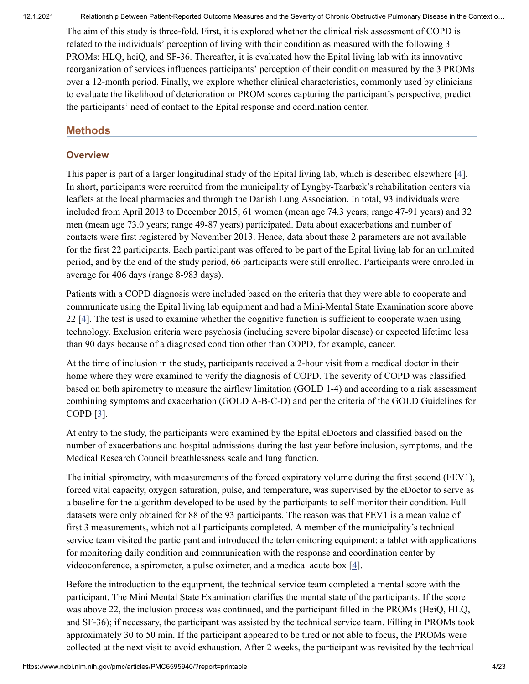The aim of this study is three-fold. First, it is explored whether the clinical risk assessment of COPD is related to the individuals' perception of living with their condition as measured with the following 3 PROMs: HLQ, heiQ, and SF-36. Thereafter, it is evaluated how the Epital living lab with its innovative reorganization of services influences participants' perception of their condition measured by the 3 PROMs over a 12-month period. Finally, we explore whether clinical characteristics, commonly used by clinicians to evaluate the likelihood of deterioration or PROM scores capturing the participant's perspective, predict the participants' need of contact to the Epital response and coordination center.

### **Methods**

### **Overview**

This paper is part of a larger longitudinal study of the Epital living lab, which is described elsewhere [[4](#page-10-1)]. In short, participants were recruited from the municipality of Lyngby-Taarbæk's rehabilitation centers via leaflets at the local pharmacies and through the Danish Lung Association. In total, 93 individuals were included from April 2013 to December 2015; 61 women (mean age 74.3 years; range 47-91 years) and 32 men (mean age 73.0 years; range 49-87 years) participated. Data about exacerbations and number of contacts were first registered by November 2013. Hence, data about these 2 parameters are not available for the first 22 participants. Each participant was offered to be part of the Epital living lab for an unlimited period, and by the end of the study period, 66 participants were still enrolled. Participants were enrolled in average for 406 days (range 8-983 days).

Patients with a COPD diagnosis were included based on the criteria that they were able to cooperate and communicate using the Epital living lab equipment and had a Mini-Mental State Examination score above 22 [\[4\]](#page-10-1). The test is used to examine whether the cognitive function is sufficient to cooperate when using technology. Exclusion criteria were psychosis (including severe bipolar disease) or expected lifetime less than 90 days because of a diagnosed condition other than COPD, for example, cancer.

At the time of inclusion in the study, participants received a 2-hour visit from a medical doctor in their home where they were examined to verify the diagnosis of COPD. The severity of COPD was classified based on both spirometry to measure the airflow limitation (GOLD 1-4) and according to a risk assessment combining symptoms and exacerbation (GOLD A-B-C-D) and per the criteria of the GOLD Guidelines for COPD  $[3]$  $[3]$  $[3]$ .

At entry to the study, the participants were examined by the Epital eDoctors and classified based on the number of exacerbations and hospital admissions during the last year before inclusion, symptoms, and the Medical Research Council breathlessness scale and lung function.

The initial spirometry, with measurements of the forced expiratory volume during the first second (FEV1), forced vital capacity, oxygen saturation, pulse, and temperature, was supervised by the eDoctor to serve as a baseline for the algorithm developed to be used by the participants to self-monitor their condition. Full datasets were only obtained for 88 of the 93 participants. The reason was that FEV1 is a mean value of first 3 measurements, which not all participants completed. A member of the municipality's technical service team visited the participant and introduced the telemonitoring equipment: a tablet with applications for monitoring daily condition and communication with the response and coordination center by videoconference, a spirometer, a pulse oximeter, and a medical acute box  $[4]$  $[4]$  $[4]$ .

Before the introduction to the equipment, the technical service team completed a mental score with the participant. The Mini Mental State Examination clarifies the mental state of the participants. If the score was above 22, the inclusion process was continued, and the participant filled in the PROMs (HeiQ, HLQ, and SF-36); if necessary, the participant was assisted by the technical service team. Filling in PROMs took approximately 30 to 50 min. If the participant appeared to be tired or not able to focus, the PROMs were collected at the next visit to avoid exhaustion. After 2 weeks, the participant was revisited by the technical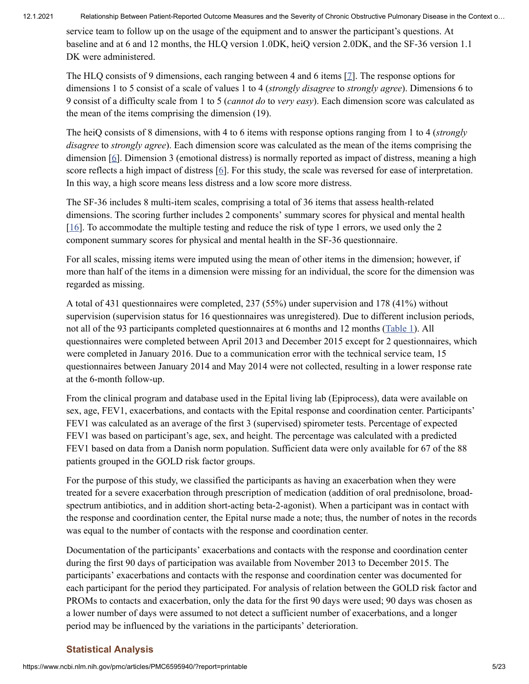service team to follow up on the usage of the equipment and to answer the participant's questions. At baseline and at 6 and 12 months, the HLQ version 1.0DK, heiQ version 2.0DK, and the SF-36 version 1.1 DK were administered.

The HLQ consists of 9 dimensions, each ranging between 4 and 6 items [\[7\]](#page-10-3). The response options for dimensions 1 to 5 consist of a scale of values 1 to 4 (*strongly disagree* to *strongly agree*). Dimensions 6 to 9 consist of a difficulty scale from 1 to 5 (*cannot do* to *very easy*). Each dimension score was calculated as the mean of the items comprising the dimension (19).

The heiQ consists of 8 dimensions, with 4 to 6 items with response options ranging from 1 to 4 (*strongly disagree* to *strongly agree*). Each dimension score was calculated as the mean of the items comprising the dimension  $[6]$  $[6]$ . Dimension 3 (emotional distress) is normally reported as impact of distress, meaning a high score reflects a high impact of distress [\[6\]](#page-10-9). For this study, the scale was reversed for ease of interpretation. In this way, a high score means less distress and a low score more distress.

The SF-36 includes 8 multi-item scales, comprising a total of 36 items that assess health-related dimensions. The scoring further includes 2 components' summary scores for physical and mental health [\[16](#page-11-3)]. To accommodate the multiple testing and reduce the risk of type 1 errors, we used only the 2 component summary scores for physical and mental health in the SF-36 questionnaire.

For all scales, missing items were imputed using the mean of other items in the dimension; however, if more than half of the items in a dimension were missing for an individual, the score for the dimension was regarded as missing.

A total of 431 questionnaires were completed, 237 (55%) under supervision and 178 (41%) without supervision (supervision status for 16 questionnaires was unregistered). Due to different inclusion periods, not all of the 93 participants completed questionnaires at 6 months and 12 months ([Table](https://www.ncbi.nlm.nih.gov/pmc/articles/PMC6595940/table/table1/) 1). All questionnaires were completed between April 2013 and December 2015 except for 2 questionnaires, which were completed in January 2016. Due to a communication error with the technical service team, 15 questionnaires between January 2014 and May 2014 were not collected, resulting in a lower response rate at the 6-month follow-up.

From the clinical program and database used in the Epital living lab (Epiprocess), data were available on sex, age, FEV1, exacerbations, and contacts with the Epital response and coordination center. Participants' FEV1 was calculated as an average of the first 3 (supervised) spirometer tests. Percentage of expected FEV1 was based on participant's age, sex, and height. The percentage was calculated with a predicted FEV1 based on data from a Danish norm population. Sufficient data were only available for 67 of the 88 patients grouped in the GOLD risk factor groups.

For the purpose of this study, we classified the participants as having an exacerbation when they were treated for a severe exacerbation through prescription of medication (addition of oral prednisolone, broadspectrum antibiotics, and in addition short-acting beta-2-agonist). When a participant was in contact with the response and coordination center, the Epital nurse made a note; thus, the number of notes in the records was equal to the number of contacts with the response and coordination center.

Documentation of the participants' exacerbations and contacts with the response and coordination center during the first 90 days of participation was available from November 2013 to December 2015. The participants' exacerbations and contacts with the response and coordination center was documented for each participant for the period they participated. For analysis of relation between the GOLD risk factor and PROMs to contacts and exacerbation, only the data for the first 90 days were used; 90 days was chosen as a lower number of days were assumed to not detect a sufficient number of exacerbations, and a longer period may be influenced by the variations in the participants' deterioration.

# **Statistical Analysis**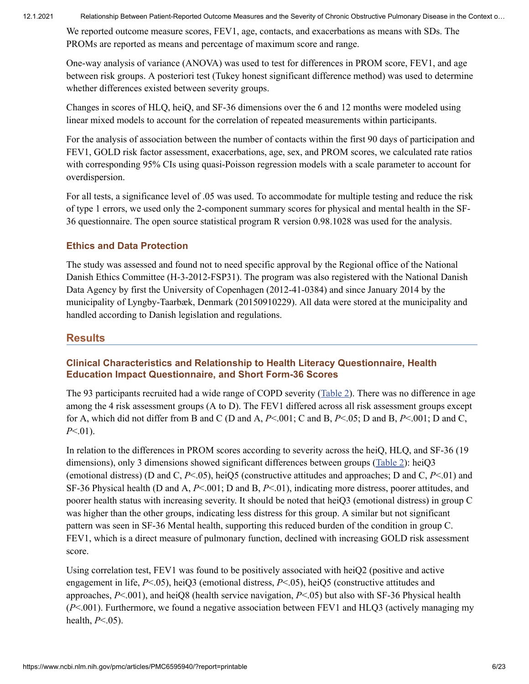We reported outcome measure scores, FEV1, age, contacts, and exacerbations as means with SDs. The PROMs are reported as means and percentage of maximum score and range.

One-way analysis of variance (ANOVA) was used to test for differences in PROM score, FEV1, and age between risk groups. A posteriori test (Tukey honest significant difference method) was used to determine whether differences existed between severity groups.

Changes in scores of HLQ, heiQ, and SF-36 dimensions over the 6 and 12 months were modeled using linear mixed models to account for the correlation of repeated measurements within participants.

For the analysis of association between the number of contacts within the first 90 days of participation and FEV1, GOLD risk factor assessment, exacerbations, age, sex, and PROM scores, we calculated rate ratios with corresponding 95% CIs using quasi-Poisson regression models with a scale parameter to account for overdispersion.

For all tests, a significance level of .05 was used. To accommodate for multiple testing and reduce the risk of type 1 errors, we used only the 2-component summary scores for physical and mental health in the SF-36 questionnaire. The open source statistical program R version 0.98.1028 was used for the analysis.

# **Ethics and Data Protection**

The study was assessed and found not to need specific approval by the Regional office of the National Danish Ethics Committee (H-3-2012-FSP31). The program was also registered with the National Danish Data Agency by first the University of Copenhagen (2012-41-0384) and since January 2014 by the municipality of Lyngby-Taarbæk, Denmark (20150910229). All data were stored at the municipality and handled according to Danish legislation and regulations.

# **Results**

### **Clinical Characteristics and Relationship to Health Literacy Questionnaire, Health Education Impact Questionnaire, and Short Form-36 Scores**

The 93 participants recruited had a wide range of COPD severity ([Table](https://www.ncbi.nlm.nih.gov/pmc/articles/PMC6595940/table/table2/) 2). There was no difference in age among the 4 risk assessment groups (A to D). The FEV1 differed across all risk assessment groups except for A, which did not differ from B and C (D and A, *P*<.001; C and B, *P*<.05; D and B, *P*<.001; D and C, *P*<.01).

In relation to the differences in PROM scores according to severity across the heiQ, HLQ, and SF-36 (19 dimensions), only 3 dimensions showed significant differences between groups [\(Table](https://www.ncbi.nlm.nih.gov/pmc/articles/PMC6595940/table/table2/) 2): heiQ3 (emotional distress) (D and C, *P*<.05), heiQ5 (constructive attitudes and approaches; D and C, *P*<.01) and SF-36 Physical health (D and A, *P*<.001; D and B, *P*<.01), indicating more distress, poorer attitudes, and poorer health status with increasing severity. It should be noted that heiQ3 (emotional distress) in group C was higher than the other groups, indicating less distress for this group. A similar but not significant pattern was seen in SF-36 Mental health, supporting this reduced burden of the condition in group C. FEV1, which is a direct measure of pulmonary function, declined with increasing GOLD risk assessment score.

Using correlation test, FEV1 was found to be positively associated with heiQ2 (positive and active engagement in life, *P*<.05), heiQ3 (emotional distress, *P*<.05), heiQ5 (constructive attitudes and approaches, *P*<.001), and heiQ8 (health service navigation, *P*<.05) but also with SF-36 Physical health (*P*<.001). Furthermore, we found a negative association between FEV1 and HLQ3 (actively managing my health, *P*<.05).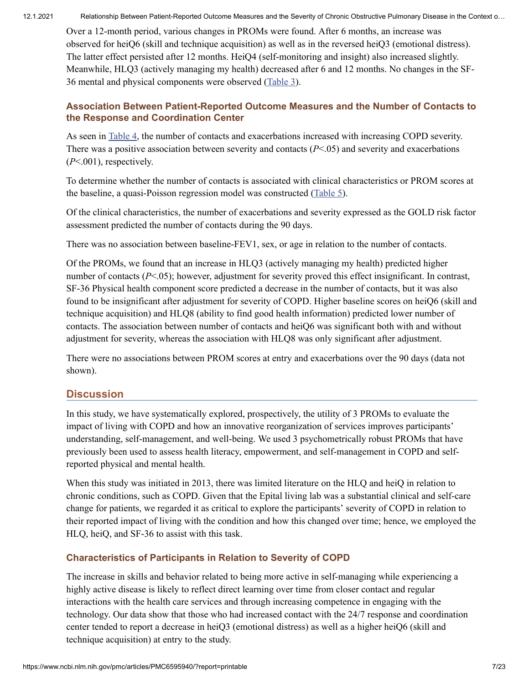Over a 12-month period, various changes in PROMs were found. After 6 months, an increase was observed for heiQ6 (skill and technique acquisition) as well as in the reversed heiQ3 (emotional distress). The latter effect persisted after 12 months. HeiQ4 (self-monitoring and insight) also increased slightly. Meanwhile, HLQ3 (actively managing my health) decreased after 6 and 12 months. No changes in the SF-36 mental and physical components were observed [\(Table](https://www.ncbi.nlm.nih.gov/pmc/articles/PMC6595940/table/table3/) 3).

### **Association Between Patient-Reported Outcome Measures and the Number of Contacts to the Response and Coordination Center**

As seen in [Table](https://www.ncbi.nlm.nih.gov/pmc/articles/PMC6595940/table/table4/) 4, the number of contacts and exacerbations increased with increasing COPD severity. There was a positive association between severity and contacts (*P*<.05) and severity and exacerbations (*P*<.001), respectively.

To determine whether the number of contacts is associated with clinical characteristics or PROM scores at the baseline, a quasi-Poisson regression model was constructed [\(Table](https://www.ncbi.nlm.nih.gov/pmc/articles/PMC6595940/table/table5/) 5).

Of the clinical characteristics, the number of exacerbations and severity expressed as the GOLD risk factor assessment predicted the number of contacts during the 90 days.

There was no association between baseline-FEV1, sex, or age in relation to the number of contacts.

Of the PROMs, we found that an increase in HLQ3 (actively managing my health) predicted higher number of contacts (*P*<.05); however, adjustment for severity proved this effect insignificant. In contrast, SF-36 Physical health component score predicted a decrease in the number of contacts, but it was also found to be insignificant after adjustment for severity of COPD. Higher baseline scores on heiQ6 (skill and technique acquisition) and HLQ8 (ability to find good health information) predicted lower number of contacts. The association between number of contacts and heiQ6 was significant both with and without adjustment for severity, whereas the association with HLQ8 was only significant after adjustment.

There were no associations between PROM scores at entry and exacerbations over the 90 days (data not shown).

# **Discussion**

In this study, we have systematically explored, prospectively, the utility of 3 PROMs to evaluate the impact of living with COPD and how an innovative reorganization of services improves participants' understanding, self-management, and well-being. We used 3 psychometrically robust PROMs that have previously been used to assess health literacy, empowerment, and self-management in COPD and selfreported physical and mental health.

When this study was initiated in 2013, there was limited literature on the HLQ and heiQ in relation to chronic conditions, such as COPD. Given that the Epital living lab was a substantial clinical and self-care change for patients, we regarded it as critical to explore the participants' severity of COPD in relation to their reported impact of living with the condition and how this changed over time; hence, we employed the HLQ, heiQ, and SF-36 to assist with this task.

# **Characteristics of Participants in Relation to Severity of COPD**

The increase in skills and behavior related to being more active in self-managing while experiencing a highly active disease is likely to reflect direct learning over time from closer contact and regular interactions with the health care services and through increasing competence in engaging with the technology. Our data show that those who had increased contact with the 24/7 response and coordination center tended to report a decrease in heiQ3 (emotional distress) as well as a higher heiQ6 (skill and technique acquisition) at entry to the study.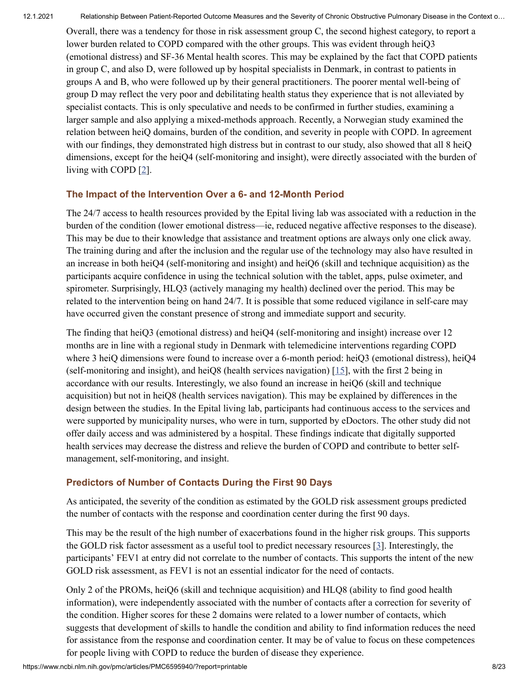Overall, there was a tendency for those in risk assessment group C, the second highest category, to report a lower burden related to COPD compared with the other groups. This was evident through heiQ3 (emotional distress) and SF-36 Mental health scores. This may be explained by the fact that COPD patients in group C, and also D, were followed up by hospital specialists in Denmark, in contrast to patients in groups A and B, who were followed up by their general practitioners. The poorer mental well-being of group D may reflect the very poor and debilitating health status they experience that is not alleviated by specialist contacts. This is only speculative and needs to be confirmed in further studies, examining a larger sample and also applying a mixed-methods approach. Recently, a Norwegian study examined the relation between heiQ domains, burden of the condition, and severity in people with COPD. In agreement with our findings, they demonstrated high distress but in contrast to our study, also showed that all 8 heiQ dimensions, except for the heiQ4 (self-monitoring and insight), were directly associated with the burden of living with COPD [[2](#page-9-1)].

### **The Impact of the Intervention Over a 6- and 12-Month Period**

The 24/7 access to health resources provided by the Epital living lab was associated with a reduction in the burden of the condition (lower emotional distress—ie, reduced negative affective responses to the disease). This may be due to their knowledge that assistance and treatment options are always only one click away. The training during and after the inclusion and the regular use of the technology may also have resulted in an increase in both heiQ4 (self-monitoring and insight) and heiQ6 (skill and technique acquisition) as the participants acquire confidence in using the technical solution with the tablet, apps, pulse oximeter, and spirometer. Surprisingly, HLQ3 (actively managing my health) declined over the period. This may be related to the intervention being on hand 24/7. It is possible that some reduced vigilance in self-care may have occurred given the constant presence of strong and immediate support and security.

The finding that heiQ3 (emotional distress) and heiQ4 (self-monitoring and insight) increase over 12 months are in line with a regional study in Denmark with telemedicine interventions regarding COPD where 3 heiQ dimensions were found to increase over a 6-month period: heiQ3 (emotional distress), heiQ4 (self-monitoring and insight), and heiQ8 (health services navigation)  $[15]$  $[15]$ , with the first 2 being in accordance with our results. Interestingly, we also found an increase in heiQ6 (skill and technique acquisition) but not in heiQ8 (health services navigation). This may be explained by differences in the design between the studies. In the Epital living lab, participants had continuous access to the services and were supported by municipality nurses, who were in turn, supported by eDoctors. The other study did not offer daily access and was administered by a hospital. These findings indicate that digitally supported health services may decrease the distress and relieve the burden of COPD and contribute to better selfmanagement, self-monitoring, and insight.

### **Predictors of Number of Contacts During the First 90 Days**

As anticipated, the severity of the condition as estimated by the GOLD risk assessment groups predicted the number of contacts with the response and coordination center during the first 90 days.

This may be the result of the high number of exacerbations found in the higher risk groups. This supports the GOLD risk factor assessment as a useful tool to predict necessary resources  $[3]$  $[3]$  $[3]$ . Interestingly, the participants' FEV1 at entry did not correlate to the number of contacts. This supports the intent of the new GOLD risk assessment, as FEV1 is not an essential indicator for the need of contacts.

Only 2 of the PROMs, heiQ6 (skill and technique acquisition) and HLQ8 (ability to find good health information), were independently associated with the number of contacts after a correction for severity of the condition. Higher scores for these 2 domains were related to a lower number of contacts, which suggests that development of skills to handle the condition and ability to find information reduces the need for assistance from the response and coordination center. It may be of value to focus on these competences for people living with COPD to reduce the burden of disease they experience.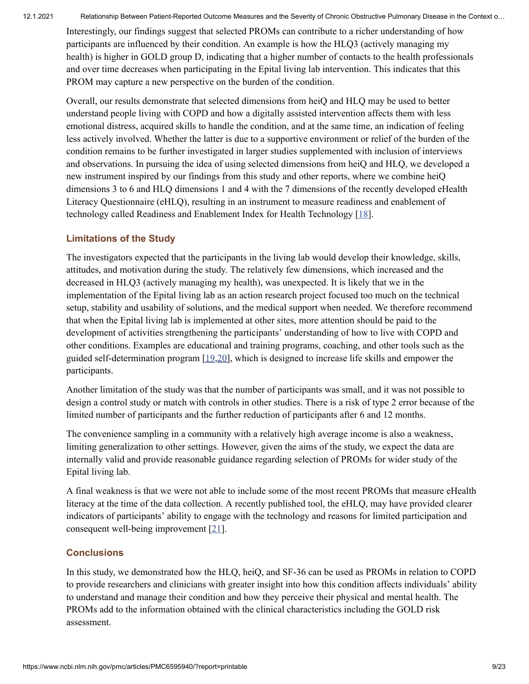Interestingly, our findings suggest that selected PROMs can contribute to a richer understanding of how participants are influenced by their condition. An example is how the HLQ3 (actively managing my health) is higher in GOLD group D, indicating that a higher number of contacts to the health professionals and over time decreases when participating in the Epital living lab intervention. This indicates that this PROM may capture a new perspective on the burden of the condition.

Overall, our results demonstrate that selected dimensions from heiQ and HLQ may be used to better understand people living with COPD and how a digitally assisted intervention affects them with less emotional distress, acquired skills to handle the condition, and at the same time, an indication of feeling less actively involved. Whether the latter is due to a supportive environment or relief of the burden of the condition remains to be further investigated in larger studies supplemented with inclusion of interviews and observations. In pursuing the idea of using selected dimensions from heiQ and HLQ, we developed a new instrument inspired by our findings from this study and other reports, where we combine heiQ dimensions 3 to 6 and HLQ dimensions 1 and 4 with the 7 dimensions of the recently developed eHealth Literacy Questionnaire (eHLQ), resulting in an instrument to measure readiness and enablement of technology called Readiness and Enablement Index for Health Technology [\[18\]](#page-11-5).

### **Limitations of the Study**

The investigators expected that the participants in the living lab would develop their knowledge, skills, attitudes, and motivation during the study. The relatively few dimensions, which increased and the decreased in HLQ3 (actively managing my health), was unexpected. It is likely that we in the implementation of the Epital living lab as an action research project focused too much on the technical setup, stability and usability of solutions, and the medical support when needed. We therefore recommend that when the Epital living lab is implemented at other sites, more attention should be paid to the development of activities strengthening the participants' understanding of how to live with COPD and other conditions. Examples are educational and training programs, coaching, and other tools such as the guided self-determination program [[19,](#page-11-6)[20\]](#page-11-7), which is designed to increase life skills and empower the participants.

Another limitation of the study was that the number of participants was small, and it was not possible to design a control study or match with controls in other studies. There is a risk of type 2 error because of the limited number of participants and the further reduction of participants after 6 and 12 months.

The convenience sampling in a community with a relatively high average income is also a weakness, limiting generalization to other settings. However, given the aims of the study, we expect the data are internally valid and provide reasonable guidance regarding selection of PROMs for wider study of the Epital living lab.

A final weakness is that we were not able to include some of the most recent PROMs that measure eHealth literacy at the time of the data collection. A recently published tool, the eHLQ, may have provided clearer indicators of participants' ability to engage with the technology and reasons for limited participation and consequent well-being improvement [\[21\]](#page-11-8).

### **Conclusions**

In this study, we demonstrated how the HLQ, heiQ, and SF-36 can be used as PROMs in relation to COPD to provide researchers and clinicians with greater insight into how this condition affects individuals' ability to understand and manage their condition and how they perceive their physical and mental health. The PROMs add to the information obtained with the clinical characteristics including the GOLD risk assessment.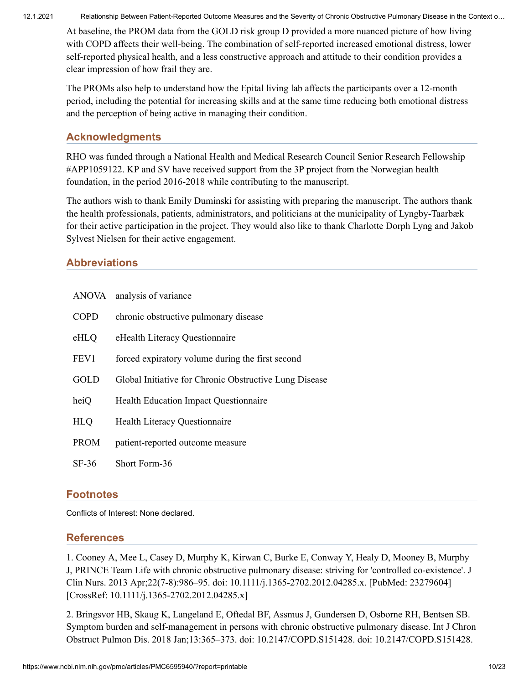At baseline, the PROM data from the GOLD risk group D provided a more nuanced picture of how living with COPD affects their well-being. The combination of self-reported increased emotional distress, lower self-reported physical health, and a less constructive approach and attitude to their condition provides a clear impression of how frail they are.

The PROMs also help to understand how the Epital living lab affects the participants over a 12-month period, including the potential for increasing skills and at the same time reducing both emotional distress and the perception of being active in managing their condition.

# **Acknowledgments**

RHO was funded through a National Health and Medical Research Council Senior Research Fellowship #APP1059122. KP and SV have received support from the 3P project from the Norwegian health foundation, in the period 2016-2018 while contributing to the manuscript.

The authors wish to thank Emily Duminski for assisting with preparing the manuscript. The authors thank the health professionals, patients, administrators, and politicians at the municipality of Lyngby-Taarbæk for their active participation in the project. They would also like to thank Charlotte Dorph Lyng and Jakob Sylvest Nielsen for their active engagement.

# **Abbreviations**

|             | ANOVA analysis of variance                             |
|-------------|--------------------------------------------------------|
| <b>COPD</b> | chronic obstructive pulmonary disease                  |
| eHLQ        | eHealth Literacy Questionnaire                         |
| FEV1        | forced expiratory volume during the first second       |
| GOLD        | Global Initiative for Chronic Obstructive Lung Disease |
| heiQ        | <b>Health Education Impact Questionnaire</b>           |
| <b>HLQ</b>  | Health Literacy Questionnaire                          |
| <b>PROM</b> | patient-reported outcome measure                       |
| $SF-36$     | Short Form-36                                          |

# **Footnotes**

Conflicts of Interest: None declared.

# **References**

<span id="page-9-0"></span>1. Cooney A, Mee L, Casey D, Murphy K, Kirwan C, Burke E, Conway Y, Healy D, Mooney B, Murphy J, PRINCE Team Life with chronic obstructive pulmonary disease: striving for 'controlled co-existence'. J Clin Nurs. 2013 Apr;22(7-8):986–95. doi: 10.1111/j.1365-2702.2012.04285.x. [PubMed: 23279604] [CrossRef: 10.1111/j.1365-2702.2012.04285.x]

<span id="page-9-1"></span>2. Bringsvor HB, Skaug K, Langeland E, Oftedal BF, Assmus J, Gundersen D, Osborne RH, Bentsen SB. Symptom burden and self-management in persons with chronic obstructive pulmonary disease. Int J Chron Obstruct Pulmon Dis. 2018 Jan;13:365–373. doi: 10.2147/COPD.S151428. doi: 10.2147/COPD.S151428.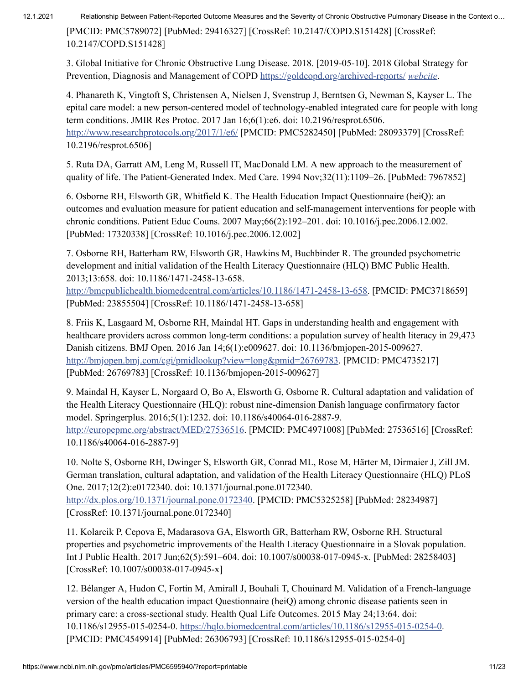[PMCID: PMC5789072] [PubMed: 29416327] [CrossRef: 10.2147/COPD.S151428] [CrossRef: 10.2147/COPD.S151428]

<span id="page-10-0"></span>3. Global Initiative for Chronic Obstructive Lung Disease. 2018. [2019-05-10]. 2018 Global Strategy for Prevention, Diagnosis and Management of COPD <https://goldcopd.org/archived-reports/> *[webcite](https://www.webcitation.org/78GKGtX5H)*.

<span id="page-10-1"></span>4. Phanareth K, Vingtoft S, Christensen A, Nielsen J, Svenstrup J, Berntsen G, Newman S, Kayser L. The epital care model: a new person-centered model of technology-enabled integrated care for people with long term conditions. JMIR Res Protoc. 2017 Jan 16;6(1):e6. doi: 10.2196/resprot.6506. <http://www.researchprotocols.org/2017/1/e6/> [PMCID: PMC5282450] [PubMed: 28093379] [CrossRef: 10.2196/resprot.6506]

<span id="page-10-2"></span>5. Ruta DA, Garratt AM, Leng M, Russell IT, MacDonald LM. A new approach to the measurement of quality of life. The Patient-Generated Index. Med Care. 1994 Nov;32(11):1109–26. [PubMed: 7967852]

<span id="page-10-9"></span>6. Osborne RH, Elsworth GR, Whitfield K. The Health Education Impact Questionnaire (heiQ): an outcomes and evaluation measure for patient education and self-management interventions for people with chronic conditions. Patient Educ Couns. 2007 May;66(2):192–201. doi: 10.1016/j.pec.2006.12.002. [PubMed: 17320338] [CrossRef: 10.1016/j.pec.2006.12.002]

<span id="page-10-3"></span>7. Osborne RH, Batterham RW, Elsworth GR, Hawkins M, Buchbinder R. The grounded psychometric development and initial validation of the Health Literacy Questionnaire (HLQ) BMC Public Health. 2013;13:658. doi: 10.1186/1471-2458-13-658.

<http://bmcpublichealth.biomedcentral.com/articles/10.1186/1471-2458-13-658>. [PMCID: PMC3718659] [PubMed: 23855504] [CrossRef: 10.1186/1471-2458-13-658]

<span id="page-10-4"></span>8. Friis K, Lasgaard M, Osborne RH, Maindal HT. Gaps in understanding health and engagement with healthcare providers across common long-term conditions: a population survey of health literacy in 29,473 Danish citizens. BMJ Open. 2016 Jan 14;6(1):e009627. doi: 10.1136/bmjopen-2015-009627. [http://bmjopen.bmj.com/cgi/pmidlookup?view=long&pmid=26769783.](http://bmjopen.bmj.com/cgi/pmidlookup?view=long&pmid=26769783) [PMCID: PMC4735217] [PubMed: 26769783] [CrossRef: 10.1136/bmjopen-2015-009627]

<span id="page-10-5"></span>9. Maindal H, Kayser L, Norgaard O, Bo A, Elsworth G, Osborne R. Cultural adaptation and validation of the Health Literacy Questionnaire (HLQ): robust nine-dimension Danish language confirmatory factor model. Springerplus. 2016;5(1):1232. doi: 10.1186/s40064-016-2887-9. [http://europepmc.org/abstract/MED/27536516.](http://europepmc.org/abstract/MED/27536516) [PMCID: PMC4971008] [PubMed: 27536516] [CrossRef: 10.1186/s40064-016-2887-9]

<span id="page-10-6"></span>10. Nolte S, Osborne RH, Dwinger S, Elsworth GR, Conrad ML, Rose M, Härter M, Dirmaier J, Zill JM. German translation, cultural adaptation, and validation of the Health Literacy Questionnaire (HLQ) PLoS One. 2017;12(2):e0172340. doi: 10.1371/journal.pone.0172340.

[http://dx.plos.org/10.1371/journal.pone.0172340.](http://dx.plos.org/10.1371/journal.pone.0172340) [PMCID: PMC5325258] [PubMed: 28234987] [CrossRef: 10.1371/journal.pone.0172340]

<span id="page-10-7"></span>11. Kolarcik P, Cepova E, Madarasova GA, Elsworth GR, Batterham RW, Osborne RH. Structural properties and psychometric improvements of the Health Literacy Questionnaire in a Slovak population. Int J Public Health. 2017 Jun;62(5):591–604. doi: 10.1007/s00038-017-0945-x. [PubMed: 28258403] [CrossRef: 10.1007/s00038-017-0945-x]

<span id="page-10-8"></span>12. Bélanger A, Hudon C, Fortin M, Amirall J, Bouhali T, Chouinard M. Validation of a French-language version of the health education impact Questionnaire (heiQ) among chronic disease patients seen in primary care: a cross-sectional study. Health Qual Life Outcomes. 2015 May 24;13:64. doi: 10.1186/s12955-015-0254-0. [https://hqlo.biomedcentral.com/articles/10.1186/s12955-015-0254-0.](https://hqlo.biomedcentral.com/articles/10.1186/s12955-015-0254-0) [PMCID: PMC4549914] [PubMed: 26306793] [CrossRef: 10.1186/s12955-015-0254-0]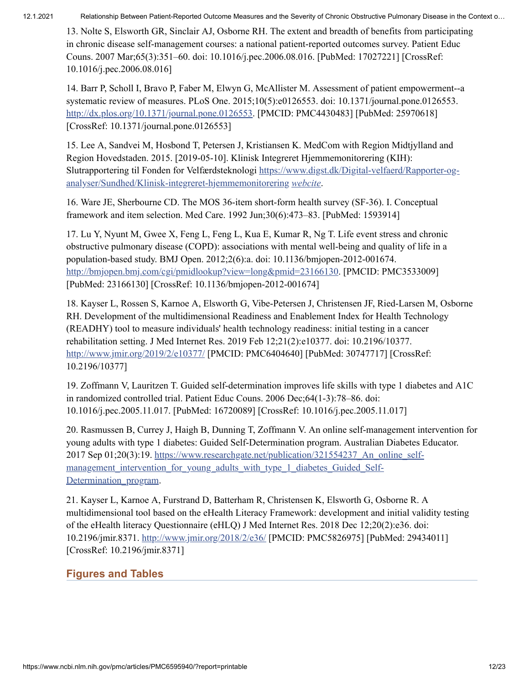<span id="page-11-0"></span>13. Nolte S, Elsworth GR, Sinclair AJ, Osborne RH. The extent and breadth of benefits from participating in chronic disease self-management courses: a national patient-reported outcomes survey. Patient Educ Couns. 2007 Mar;65(3):351–60. doi: 10.1016/j.pec.2006.08.016. [PubMed: 17027221] [CrossRef: 10.1016/j.pec.2006.08.016]

<span id="page-11-1"></span>14. Barr P, Scholl I, Bravo P, Faber M, Elwyn G, McAllister M. Assessment of patient empowerment--a systematic review of measures. PLoS One. 2015;10(5):e0126553. doi: 10.1371/journal.pone.0126553. [http://dx.plos.org/10.1371/journal.pone.0126553.](http://dx.plos.org/10.1371/journal.pone.0126553) [PMCID: PMC4430483] [PubMed: 25970618] [CrossRef: 10.1371/journal.pone.0126553]

<span id="page-11-2"></span>15. Lee A, Sandvei M, Hosbond T, Petersen J, Kristiansen K. MedCom with Region Midtjylland and Region Hovedstaden. 2015. [2019-05-10]. Klinisk Integreret Hjemmemonitorering (KIH): Slutrapportering til Fonden for Velfærdsteknologi https://www.digst.dk/Digital-velfaerd/Rapporter-og[analyser/Sundhed/Klinisk-integreret-hjemmemonitorering](https://www.digst.dk/Digital-velfaerd/Rapporter-og-analyser/Sundhed/Klinisk-integreret-hjemmemonitorering) *[webcite](https://www.webcitation.org/78GJFsIoa)*.

<span id="page-11-3"></span>16. Ware JE, Sherbourne CD. The MOS 36-item short-form health survey (SF-36). I. Conceptual framework and item selection. Med Care. 1992 Jun;30(6):473–83. [PubMed: 1593914]

<span id="page-11-4"></span>17. Lu Y, Nyunt M, Gwee X, Feng L, Feng L, Kua E, Kumar R, Ng T. Life event stress and chronic obstructive pulmonary disease (COPD): associations with mental well-being and quality of life in a population-based study. BMJ Open. 2012;2(6):a. doi: 10.1136/bmjopen-2012-001674. [http://bmjopen.bmj.com/cgi/pmidlookup?view=long&pmid=23166130.](http://bmjopen.bmj.com/cgi/pmidlookup?view=long&pmid=23166130) [PMCID: PMC3533009] [PubMed: 23166130] [CrossRef: 10.1136/bmjopen-2012-001674]

<span id="page-11-5"></span>18. Kayser L, Rossen S, Karnoe A, Elsworth G, Vibe-Petersen J, Christensen JF, Ried-Larsen M, Osborne RH. Development of the multidimensional Readiness and Enablement Index for Health Technology (READHY) tool to measure individuals' health technology readiness: initial testing in a cancer rehabilitation setting. J Med Internet Res. 2019 Feb 12;21(2):e10377. doi: 10.2196/10377. <http://www.jmir.org/2019/2/e10377/> [PMCID: PMC6404640] [PubMed: 30747717] [CrossRef: 10.2196/10377]

<span id="page-11-6"></span>19. Zoffmann V, Lauritzen T. Guided self-determination improves life skills with type 1 diabetes and A1C in randomized controlled trial. Patient Educ Couns. 2006 Dec;64(1-3):78–86. doi: 10.1016/j.pec.2005.11.017. [PubMed: 16720089] [CrossRef: 10.1016/j.pec.2005.11.017]

<span id="page-11-7"></span>20. Rasmussen B, Currey J, Haigh B, Dunning T, Zoffmann V. An online self-management intervention for young adults with type 1 diabetes: Guided Self-Determination program. Australian Diabetes Educator. 2017 Sep 01;20(3):19. https://www.researchgate.net/publication/321554237 An online selfmanagement intervention for young adults with type 1 diabetes Guided Self-Determination\_program.

<span id="page-11-8"></span>21. Kayser L, Karnoe A, Furstrand D, Batterham R, Christensen K, Elsworth G, Osborne R. A multidimensional tool based on the eHealth Literacy Framework: development and initial validity testing of the eHealth literacy Questionnaire (eHLQ) J Med Internet Res. 2018 Dec 12;20(2):e36. doi: 10.2196/jmir.8371. <http://www.jmir.org/2018/2/e36/> [PMCID: PMC5826975] [PubMed: 29434011] [CrossRef: 10.2196/jmir.8371]

# **Figures and Tables**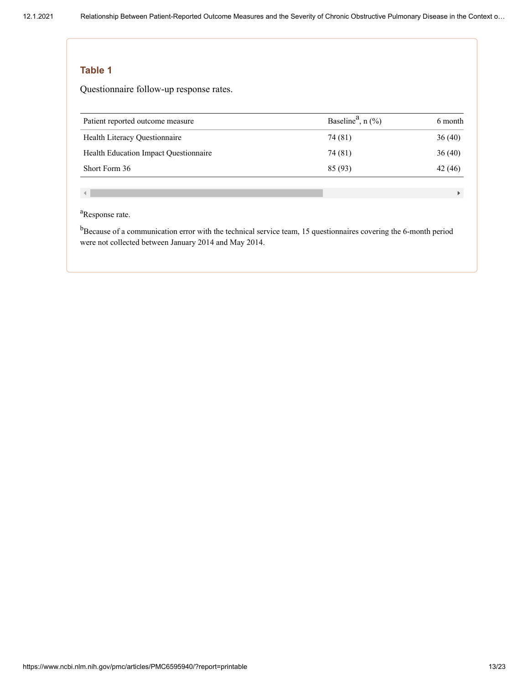Questionnaire follow-up response rates.

| Patient reported outcome measure      | Baseline <sup>a</sup> , $n$ (%) | 6 month |
|---------------------------------------|---------------------------------|---------|
| Health Literacy Questionnaire         | 74 (81)                         | 36(40)  |
| Health Education Impact Questionnaire | 74 (81)                         | 36(40)  |
| Short Form 36                         | 85 (93)                         | 42 (46) |

 $\mathcal{A}$ 

#### <sup>a</sup>Response rate.

 $<sup>b</sup>$ Because of a communication error with the technical service team, 15 questionnaires covering the 6-month period</sup> were not collected between January 2014 and May 2014.

 $\mathbf{F}^{\dagger}$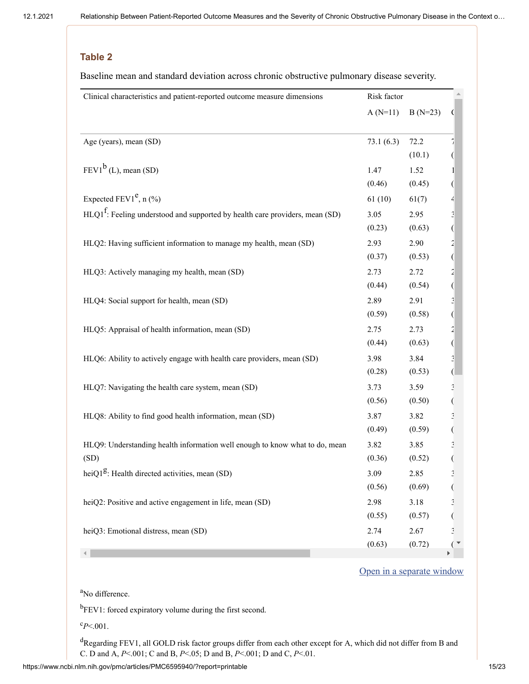Baseline mean and standard deviation across chronic obstructive pulmonary disease severity.

| Clinical characteristics and patient-reported outcome measure dimensions        | Risk factor |           |                          |
|---------------------------------------------------------------------------------|-------------|-----------|--------------------------|
|                                                                                 | $A(N=11)$   | $B(N=23)$ | (                        |
|                                                                                 |             |           |                          |
| Age (years), mean (SD)                                                          | 73.1(6.3)   | 72.2      |                          |
|                                                                                 |             | (10.1)    |                          |
| $FEVI^b$ (L), mean (SD)                                                         | 1.47        | 1.52      |                          |
|                                                                                 | (0.46)      | (0.45)    |                          |
| Expected $FEV1^e$ , n (%)                                                       | 61(10)      | 61(7)     | $\overline{\mathcal{A}}$ |
| $HLQ1^f$ : Feeling understood and supported by health care providers, mean (SD) | 3.05        | 2.95      | $\frac{3}{2}$            |
|                                                                                 | (0.23)      | (0.63)    |                          |
| HLQ2: Having sufficient information to manage my health, mean (SD)              | 2.93        | 2.90      | $\overline{2}$           |
|                                                                                 | (0.37)      | (0.53)    | $\big($                  |
| HLQ3: Actively managing my health, mean (SD)                                    | 2.73        | 2.72      | $\tilde{z}$              |
|                                                                                 | (0.44)      | (0.54)    | (                        |
| HLQ4: Social support for health, mean (SD)                                      | 2.89        | 2.91      | $\mathbf{c}$             |
|                                                                                 | (0.59)      | (0.58)    | $\big($                  |
| HLQ5: Appraisal of health information, mean (SD)                                | 2.75        | 2.73      | $\overline{a}$           |
|                                                                                 | (0.44)      | (0.63)    | $\left(\right)$          |
| HLQ6: Ability to actively engage with health care providers, mean (SD)          | 3.98        | 3.84      | $\frac{3}{2}$            |
|                                                                                 | (0.28)      | (0.53)    |                          |
| HLQ7: Navigating the health care system, mean (SD)                              | 3.73        | 3.59      |                          |
|                                                                                 | (0.56)      | (0.50)    | $\frac{3}{1}$            |
| HLQ8: Ability to find good health information, mean (SD)                        | 3.87        | 3.82      |                          |
|                                                                                 | (0.49)      | (0.59)    | $\frac{3}{1}$            |
| HLQ9: Understanding health information well enough to know what to do, mean     | 3.82        | 3.85      | $\frac{3}{2}$            |
| (SD)                                                                            | (0.36)      | (0.52)    |                          |
| heiQ1 <sup>g</sup> : Health directed activities, mean $(SD)$                    | 3.09        | 2.85      | q                        |
|                                                                                 | (0.56)      | (0.69)    |                          |
| heiQ2: Positive and active engagement in life, mean (SD)                        | 2.98        | 3.18      |                          |
|                                                                                 | (0.55)      | (0.57)    |                          |
| heiQ3: Emotional distress, mean (SD)                                            | 2.74        | 2.67      | $\mathbf{E}$             |
|                                                                                 | (0.63)      | (0.72)    |                          |
|                                                                                 |             |           |                          |

#### Open in a [separate](https://www.ncbi.nlm.nih.gov/pmc/articles/PMC6595940/table/table2/?report=objectonly) window

<sup>a</sup>No difference.

 ${}^{b}$ FEV1: forced expiratory volume during the first second.

 ${}^{\rm c}P<.001$ .

<sup>d</sup>Regarding FEV1, all GOLD risk factor groups differ from each other except for A, which did not differ from B and C. D and A, *P*<.001; C and B, *P*<.05; D and B, *P*<.001; D and C, *P*<.01.

https://www.ncbi.nlm.nih.gov/pmc/articles/PMC6595940/?report=printable 15/23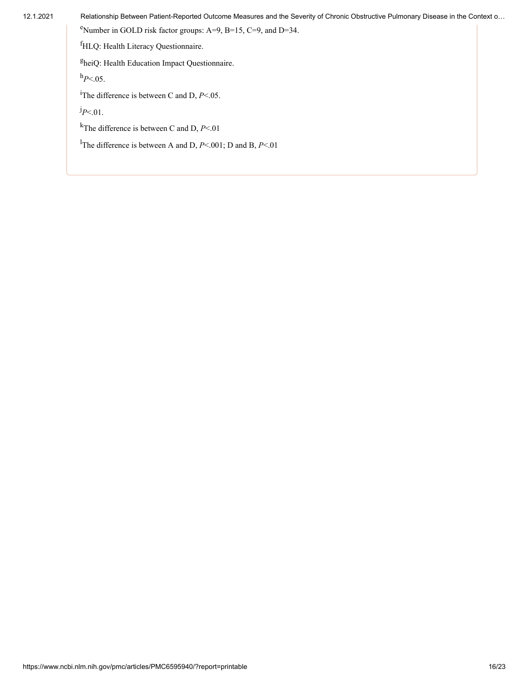<sup>e</sup>Number in GOLD risk factor groups: A=9, B=15, C=9, and D=34.

<sup>f</sup>HLQ: Health Literacy Questionnaire.

<sup>g</sup>heiQ: Health Education Impact Questionnaire.

 $h_{P<.05}$ .

<sup>i</sup>The difference is between C and D,  $P<.05$ .

*P*<.01. j

<sup>k</sup>The difference is between C and D, *P*<.01

<sup>1</sup>The difference is between A and D, *P*<.001; D and B, *P*<.01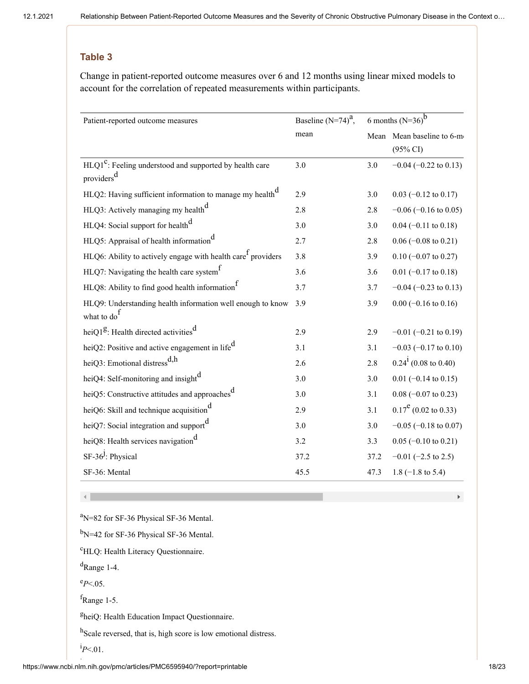Change in patient-reported outcome measures over 6 and 12 months using linear mixed models to account for the correlation of repeated measurements within participants.

| Patient-reported outcome measures                                                    | Baseline $(N=74)^a$ , | 6 months $(N=36)^b$ |                               |
|--------------------------------------------------------------------------------------|-----------------------|---------------------|-------------------------------|
|                                                                                      | mean                  |                     | Mean Mean baseline to 6-m     |
|                                                                                      |                       |                     | $(95\% \text{ CI})$           |
| $HLQ1^C$ : Feeling understood and supported by health care<br>providers <sup>d</sup> | 3.0                   | 3.0                 | $-0.04$ ( $-0.22$ to 0.13)    |
|                                                                                      |                       |                     |                               |
| HLQ2: Having sufficient information to manage my health <sup>d</sup>                 | 2.9                   | 3.0                 | $0.03$ (-0.12 to 0.17)        |
| HLQ3: Actively managing my health <sup>d</sup>                                       | 2.8                   | 2.8                 | $-0.06$ ( $-0.16$ to 0.05)    |
| HLQ4: Social support for health <sup>d</sup>                                         | 3.0                   | 3.0                 | $0.04$ (-0.11 to 0.18)        |
| HLQ5: Appraisal of health information <sup>d</sup>                                   | 2.7                   | 2.8                 | $0.06$ (-0.08 to 0.21)        |
| $HLQ6$ : Ability to actively engage with health care providers                       | 3.8                   | 3.9                 | $0.10$ (-0.07 to 0.27)        |
| HLQ7: Navigating the health care system <sup>1</sup>                                 | 3.6                   | 3.6                 | $0.01$ (-0.17 to 0.18)        |
| HLQ8: Ability to find good health information <sup>1</sup>                           | 3.7                   | 3.7                 | $-0.04$ ( $-0.23$ to 0.13)    |
| HLQ9: Understanding health information well enough to know                           | 3.9                   | 3.9                 | $0.00$ (-0.16 to 0.16)        |
| what to do <sup>1</sup>                                                              |                       |                     |                               |
| heiQ1 <sup>g</sup> : Health directed activities <sup>d</sup>                         | 2.9                   | 2.9                 | $-0.01$ ( $-0.21$ to 0.19)    |
| heiQ2: Positive and active engagement in life <sup>d</sup>                           | 3.1                   | 3.1                 | $-0.03$ ( $-0.17$ to 0.10)    |
| heiQ3: Emotional distress <sup>d,h</sup>                                             | 2.6                   | 2.8                 | $0.24^{1}$ (0.08 to 0.40)     |
| heiQ4: Self-monitoring and insight <sup>d</sup>                                      | 3.0                   | 3.0                 | $0.01$ (-0.14 to 0.15)        |
| heiQ5: Constructive attitudes and approaches <sup>d</sup>                            | 3.0                   | 3.1                 | $0.08$ (-0.07 to 0.23)        |
| heiQ6: Skill and technique acquisition <sup>d</sup>                                  | 2.9                   | 3.1                 | $0.17^{\rm e}$ (0.02 to 0.33) |
| heiQ7: Social integration and support <sup>d</sup>                                   | 3.0                   | 3.0                 | $-0.05$ ( $-0.18$ to 0.07)    |
| heiQ8: Health services navigation <sup>d</sup>                                       | 3.2                   | 3.3                 | $0.05$ (-0.10 to 0.21)        |
| SF-36 <sup>J</sup> : Physical                                                        | 37.2                  | 37.2                | $-0.01$ (-2.5 to 2.5)         |
| SF-36: Mental                                                                        | 45.5                  | 47.3                | $1.8$ (-1.8 to 5.4)           |

 $\mathrm{^{a}N=82}$  for SF-36 Physical SF-36 Mental.

b<sub>N</sub>=42 for SF-36 Physical SF-36 Mental.

<sup>c</sup>HLQ: Health Literacy Questionnaire.

<sup>d</sup>Range 1-4.

 $e_{P<.05}$ .

f<sub>Range</sub> 1-5.

<sup>g</sup>heiQ: Health Education Impact Questionnaire.

<sup>h</sup>Scale reversed, that is, high score is low emotional distress.

 $^{i}P<.01$ .

 $\mathbf{F}^{\dagger}$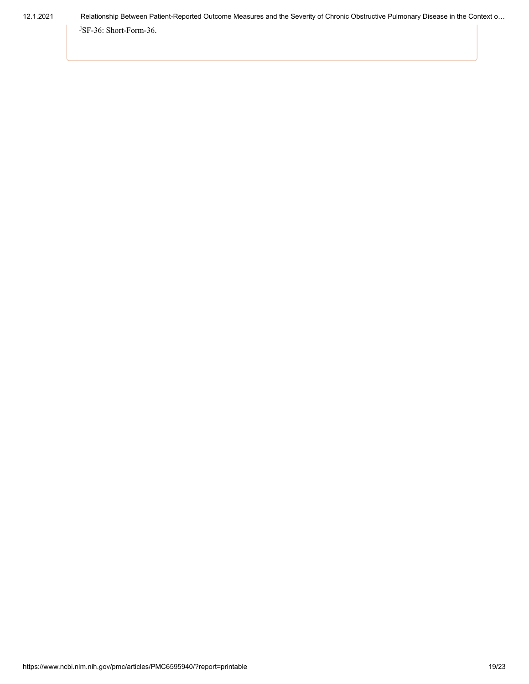<sup>J</sup>SF-36: Short-Form-36.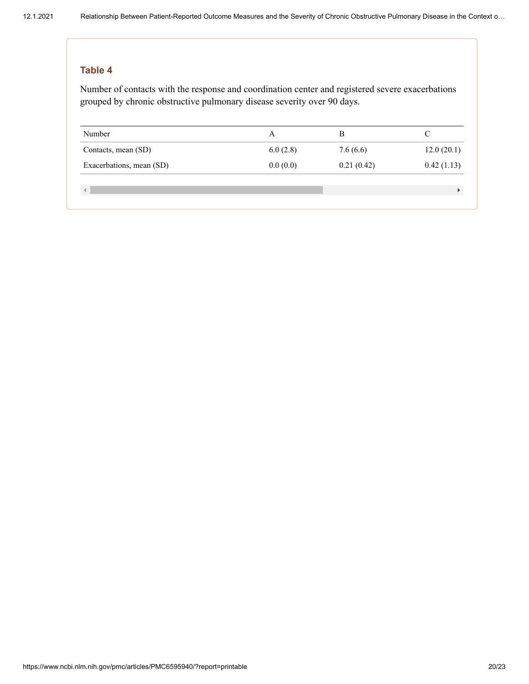Number of contacts with the response and coordination center and registered severe exacerbations grouped by chronic obstructive pulmonary disease severity over 90 days.

| Number                   |          | B          |            |
|--------------------------|----------|------------|------------|
| Contacts, mean (SD)      | 6.0(2.8) | 7.6(6.6)   | 12.0(20.1) |
| Exacerbations, mean (SD) | 0.0(0.0) | 0.21(0.42) | 0.42(1.13) |
|                          |          |            |            |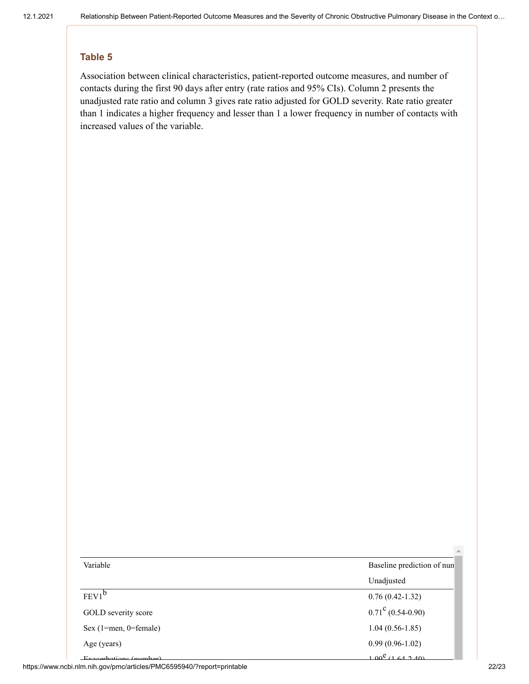Association between clinical characteristics, patient-reported outcome measures, and number of contacts during the first 90 days after entry (rate ratios and 95% CIs). Column 2 presents the unadjusted rate ratio and column 3 gives rate ratio adjusted for GOLD severity. Rate ratio greater than 1 indicates a higher frequency and lesser than 1 a lower frequency in number of contacts with increased values of the variable.

| Variable                    | Baseline prediction of nun |
|-----------------------------|----------------------------|
|                             | Unadjusted                 |
| $FEV1^b$                    | $0.76(0.42-1.32)$          |
| GOLD severity score         | $0.71^{\circ}$ (0.54-0.90) |
| Sex $(1=$ men, $0=$ female) | $1.04(0.56-1.85)$          |
| Age (years)                 | $0.99(0.96-1.02)$          |
| Executations (number)       | $1.00^{e}$ (1.64.2.40)     |

https://www.ncbi.nlm.nih.gov/pmc/articles/PMC6595940/?report=printable 22/23